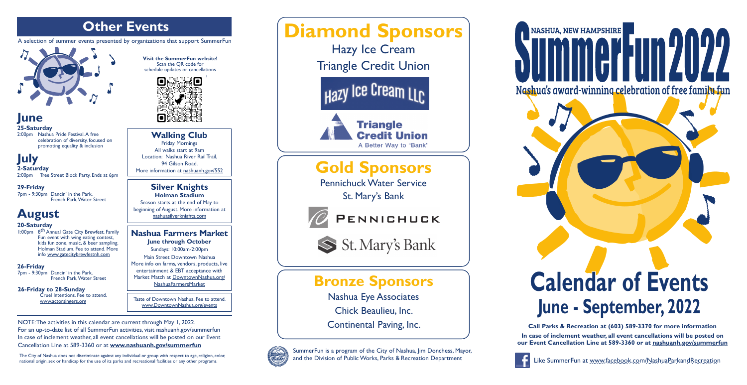**June**

**25-Saturday**

2:00pm Nashua Pride Festival. A free celebration of diversity, focused on promoting equality & inclusion

## **July**

2-Saturday<br>2:00pm Tree Tree Street Block Party. Ends at 6pm

**29-Friday** 7pm - 9:30pm Dancin' in the Park, French Park, Water Street

## **August**

#### **20-Saturday**

1:00pm 8th Annual Gate City Brewfest. Family Fun event with wing eating contest, kids fun zone, music, & beer sampling. Holman Stadium. Fee to attend. More info [www.gatecitybrewfestnh.com](http://www.gatecitybrewfestnh.com/)

#### **26-Friday**

7pm - 9:30pm Dancin' in the Park, French Park, Water Street

**26-Friday to 28-Sunday** Cruel Intentions. Fee to attend. [www.actorsingers.org](https://www.actorsingers.org/)

**Visit the SummerFun website!** Scan the QR code for schedule updates or cancellations





## **Bronze Sponsors**

Nashua Eye Associates Chick Beaulieu, Inc. Continental Paving, Inc.



The City of Nashua does not discriminate against any individual or group with respect to age, religion, color,<br>
national origin, sex or handicap for the use of its parks and recreational facilities or any other programs. national origin, sex or handicap for the use of its parks and recreational facilities or any other programs.

# **Calendar of Events June - September, 2022**

SummerFun is a program of the City of Nashua, Jim Donchess, Mayor, and the Division of Public Works, Parks & Recreation Department





**Call Parks & Recreation at (603) 589-3370 for more information In case of inclement weather, all event cancellations will be posted on our Event Cancellation Line at 589-3360 or at [nashuanh.gov/summerfun](https://www.nashuanh.gov/546/SummerFun)**



# **NASHUA, NEW HAMPSHIRE** Nashua's award-winning celebration of free family fun

NOTE: The activities in this calendar are current through May 1, 2022. For an up-to-date list of all SummerFun activities, visit nashuanh.gov/summerfun In case of inclement weather, all event cancellations will be posted on our Event Cancellation Line at 589-3360 or at **[www.nashuanh.gov/summerfun](https://www.nashuanh.gov/summerfun)**

## **Other Events**

A selection of summer events presented by organizations that support SummerFun



#### **Nashua Farmers Market June through October**

Sundays: 10:00am-2:00pm Main Street Downtown Nashua More info on farms, vendors, products, live entertainment & EBT acceptance with Market Match at [DowntownNashua.org/](https://downtownnashua.org/tips-articles/nashuafarmersmarket/) [NashuaFarmersMarket](https://downtownnashua.org/tips-articles/nashuafarmersmarket/)

**Silver Knights Holman Stadium**  Season starts at the end of May to beginning of August. More information at [nashuasilverknights.com](https://nashuasilverknights.com)

#### **Walking Club** Friday Mornings All walks start at 9am

Location: Nashua River Rail Trail, 94 Gilson Road. More information at [nashuanh.gov/552](https://www.nashuanh.gov/552/Walking-Program)

Taste of Downtown Nashua. Fee to attend. [www.DowntownNashua.org/events](https://downtownnashua.org/events)